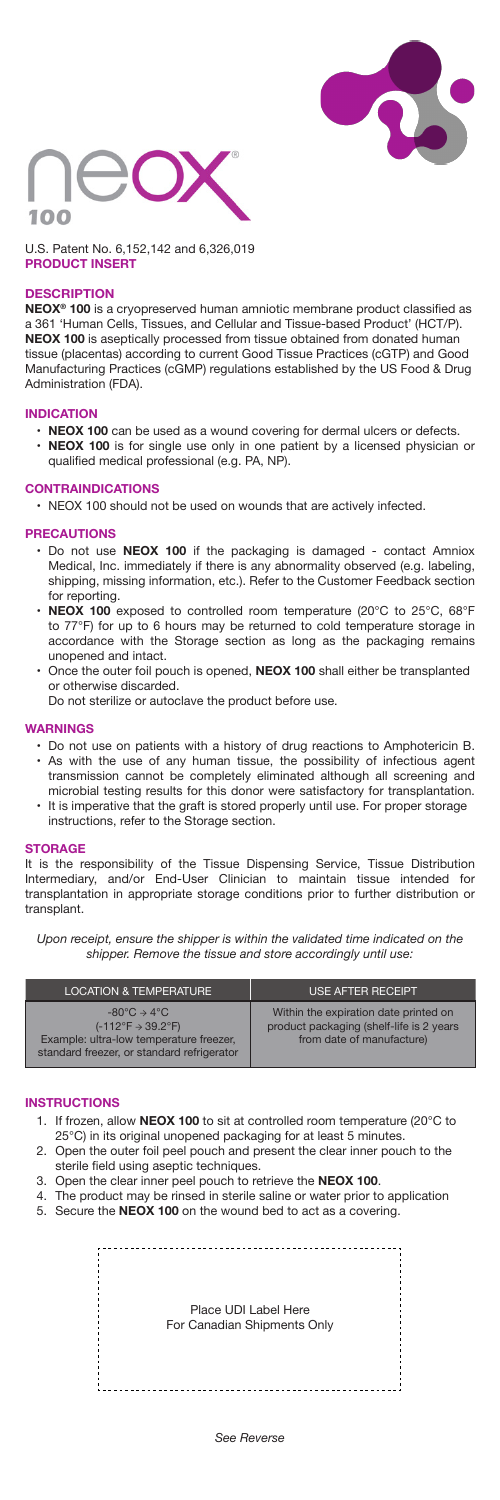



U.S. Patent No. 6,152,142 and 6,326,019 **PRODUCT INSERT**

## **DESCRIPTION**

**NEOX® 100** is a cryopreserved human amniotic membrane product classified as a 361 'Human Cells, Tissues, and Cellular and Tissue-based Product' (HCT/P). **NEOX 100** is aseptically processed from tissue obtained from donated human tissue (placentas) according to current Good Tissue Practices (cGTP) and Good Manufacturing Practices (cGMP) regulations established by the US Food & Drug Administration (FDA).

## **INDICATION**

• **NEOX 100** can be used as a wound covering for dermal ulcers or defects. • **NEOX 100** is for single use only in one patient by a licensed physician or qualified medical professional (e.g. PA, NP).

### **CONTRAINDICATIONS**

• NEOX 100 should not be used on wounds that are actively infected.

#### **PRECAUTIONS**

- Do not use **NEOX 100** if the packaging is damaged contact Amniox Medical, Inc. immediately if there is any abnormality observed (e.g. labeling, shipping, missing information, etc.). Refer to the Customer Feedback section for reporting.
- **NEOX 100** exposed to controlled room temperature (20°C to 25°C, 68°F to 77°F) for up to 6 hours may be returned to cold temperature storage in accordance with the Storage section as long as the packaging remains unopened and intact.
- Once the outer foil pouch is opened, **NEOX 100** shall either be transplanted or otherwise discarded.
	- Do not sterilize or autoclave the product before use.

## **WARNINGS**

- Do not use on patients with a history of drug reactions to Amphotericin B. • As with the use of any human tissue, the possibility of infectious agent transmission cannot be completely eliminated although all screening and
- It is imperative that the graft is stored properly until use. For proper storage microbial testing results for this donor were satisfactory for transplantation. instructions, refer to the Storage section.

#### **STORAGE**

It is the responsibility of the Tissue Dispensing Service, Tissue Distribution Intermediary, and/or End-User Clinician to maintain tissue intended for transplantation in appropriate storage conditions prior to further distribution or transplant.

*Upon receipt, ensure the shipper is within the validated time indicated on the shipper. Remove the tissue and store accordingly until use:*

| <b>LOCATION &amp; TEMPERATURE</b>                                                                                                                                                    | <b>USE AFTER RECEIPT</b>                                                                                        |
|--------------------------------------------------------------------------------------------------------------------------------------------------------------------------------------|-----------------------------------------------------------------------------------------------------------------|
| $-80^{\circ}$ C $\rightarrow$ 4 $^{\circ}$ C<br>$(-112^{\circ}F \rightarrow 39.2^{\circ}F)$<br>Example: ultra-low temperature freezer,<br>standard freezer, or standard refrigerator | Within the expiration date printed on<br>product packaging (shelf-life is 2 years)<br>from date of manufacture) |

#### **INSTRUCTIONS**

- 1. If frozen, allow **NEOX 100** to sit at controlled room temperature (20°C to 25°C) in its original unopened packaging for at least 5 minutes.
- 2. Open the outer foil peel pouch and present the clear inner pouch to the sterile field using aseptic techniques.
- 3. Open the clear inner peel pouch to retrieve the **NEOX 100**.
- 4. The product may be rinsed in sterile saline or water prior to application
- 5. Secure the **NEOX 100** on the wound bed to act as a covering.

| Place UDI Label Here<br>For Canadian Shipments Only |
|-----------------------------------------------------|
|                                                     |